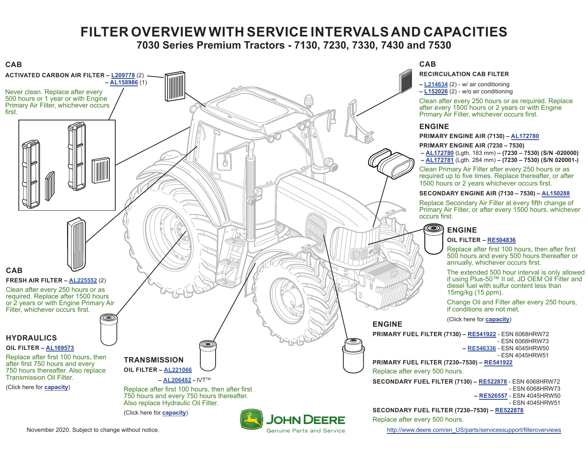# **FILTER OVERVIEW WITH SERVICE INTERVALS AND CAPACITIES**

**7030 Series Premium Tractors - 7130, 7230, 7330, 7430 and 7530**

<span id="page-0-0"></span>

November 2020. Subject to change without notice. The same service of the com/enauthout of the subject to change without notice.

- ESN 6068HRW73

- ESN 4045HRW51

- ESN 6068HRW73

- ESN 4045HRW51